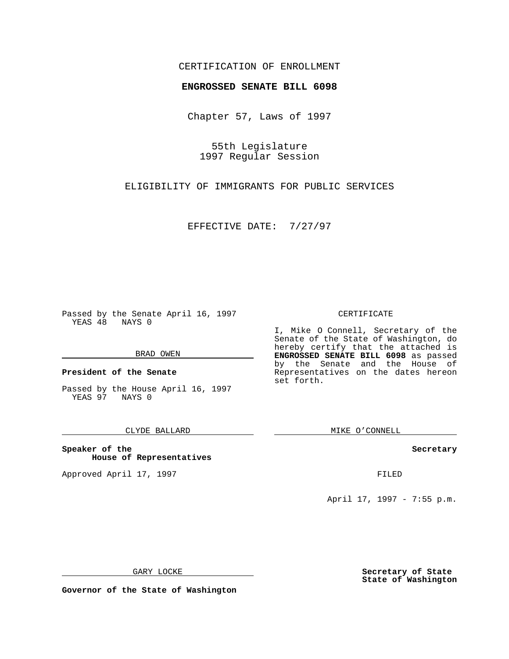## CERTIFICATION OF ENROLLMENT

# **ENGROSSED SENATE BILL 6098**

Chapter 57, Laws of 1997

55th Legislature 1997 Regular Session

ELIGIBILITY OF IMMIGRANTS FOR PUBLIC SERVICES

EFFECTIVE DATE: 7/27/97

Passed by the Senate April 16, 1997 YEAS 48 NAYS 0

### BRAD OWEN

**President of the Senate**

Passed by the House April 16, 1997 YEAS 97 NAYS 0

## CLYDE BALLARD

**Speaker of the House of Representatives**

Approved April 17, 1997 **FILED** 

### CERTIFICATE

I, Mike O Connell, Secretary of the Senate of the State of Washington, do hereby certify that the attached is **ENGROSSED SENATE BILL 6098** as passed by the Senate and the House of Representatives on the dates hereon set forth.

MIKE O'CONNELL

### **Secretary**

April 17, 1997 - 7:55 p.m.

GARY LOCKE

**Governor of the State of Washington**

**Secretary of State State of Washington**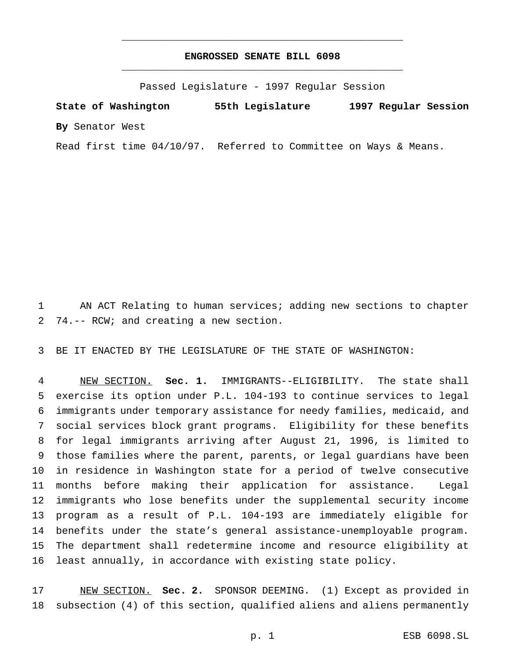## **ENGROSSED SENATE BILL 6098** \_\_\_\_\_\_\_\_\_\_\_\_\_\_\_\_\_\_\_\_\_\_\_\_\_\_\_\_\_\_\_\_\_\_\_\_\_\_\_\_\_\_\_\_\_\_\_

\_\_\_\_\_\_\_\_\_\_\_\_\_\_\_\_\_\_\_\_\_\_\_\_\_\_\_\_\_\_\_\_\_\_\_\_\_\_\_\_\_\_\_\_\_\_\_

Passed Legislature - 1997 Regular Session

**State of Washington 55th Legislature 1997 Regular Session By** Senator West

Read first time 04/10/97. Referred to Committee on Ways & Means.

 AN ACT Relating to human services; adding new sections to chapter 74.-- RCW; and creating a new section.

BE IT ENACTED BY THE LEGISLATURE OF THE STATE OF WASHINGTON:

 NEW SECTION. **Sec. 1.** IMMIGRANTS--ELIGIBILITY. The state shall exercise its option under P.L. 104-193 to continue services to legal immigrants under temporary assistance for needy families, medicaid, and social services block grant programs. Eligibility for these benefits for legal immigrants arriving after August 21, 1996, is limited to those families where the parent, parents, or legal guardians have been in residence in Washington state for a period of twelve consecutive months before making their application for assistance. Legal immigrants who lose benefits under the supplemental security income program as a result of P.L. 104-193 are immediately eligible for benefits under the state's general assistance-unemployable program. The department shall redetermine income and resource eligibility at least annually, in accordance with existing state policy.

 NEW SECTION. **Sec. 2.** SPONSOR DEEMING. (1) Except as provided in subsection (4) of this section, qualified aliens and aliens permanently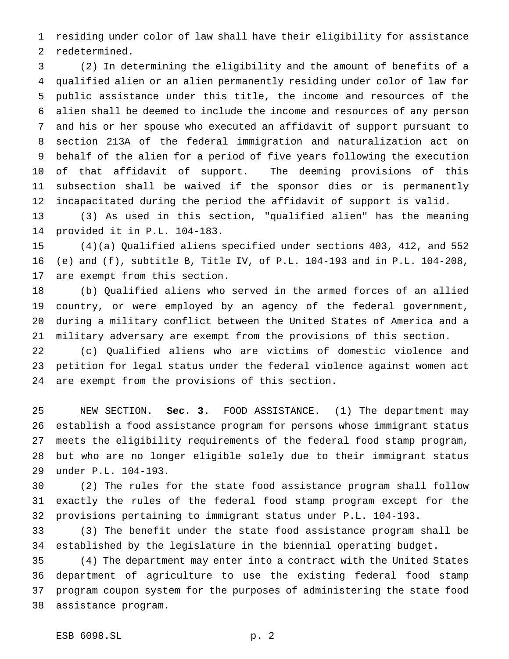residing under color of law shall have their eligibility for assistance redetermined.

 (2) In determining the eligibility and the amount of benefits of a qualified alien or an alien permanently residing under color of law for public assistance under this title, the income and resources of the alien shall be deemed to include the income and resources of any person and his or her spouse who executed an affidavit of support pursuant to section 213A of the federal immigration and naturalization act on behalf of the alien for a period of five years following the execution of that affidavit of support. The deeming provisions of this subsection shall be waived if the sponsor dies or is permanently incapacitated during the period the affidavit of support is valid.

 (3) As used in this section, "qualified alien" has the meaning provided it in P.L. 104-183.

 (4)(a) Qualified aliens specified under sections 403, 412, and 552 (e) and (f), subtitle B, Title IV, of P.L. 104-193 and in P.L. 104-208, are exempt from this section.

 (b) Qualified aliens who served in the armed forces of an allied country, or were employed by an agency of the federal government, during a military conflict between the United States of America and a military adversary are exempt from the provisions of this section.

 (c) Qualified aliens who are victims of domestic violence and petition for legal status under the federal violence against women act are exempt from the provisions of this section.

 NEW SECTION. **Sec. 3.** FOOD ASSISTANCE. (1) The department may establish a food assistance program for persons whose immigrant status meets the eligibility requirements of the federal food stamp program, but who are no longer eligible solely due to their immigrant status under P.L. 104-193.

 (2) The rules for the state food assistance program shall follow exactly the rules of the federal food stamp program except for the provisions pertaining to immigrant status under P.L. 104-193.

 (3) The benefit under the state food assistance program shall be established by the legislature in the biennial operating budget.

 (4) The department may enter into a contract with the United States department of agriculture to use the existing federal food stamp program coupon system for the purposes of administering the state food assistance program.